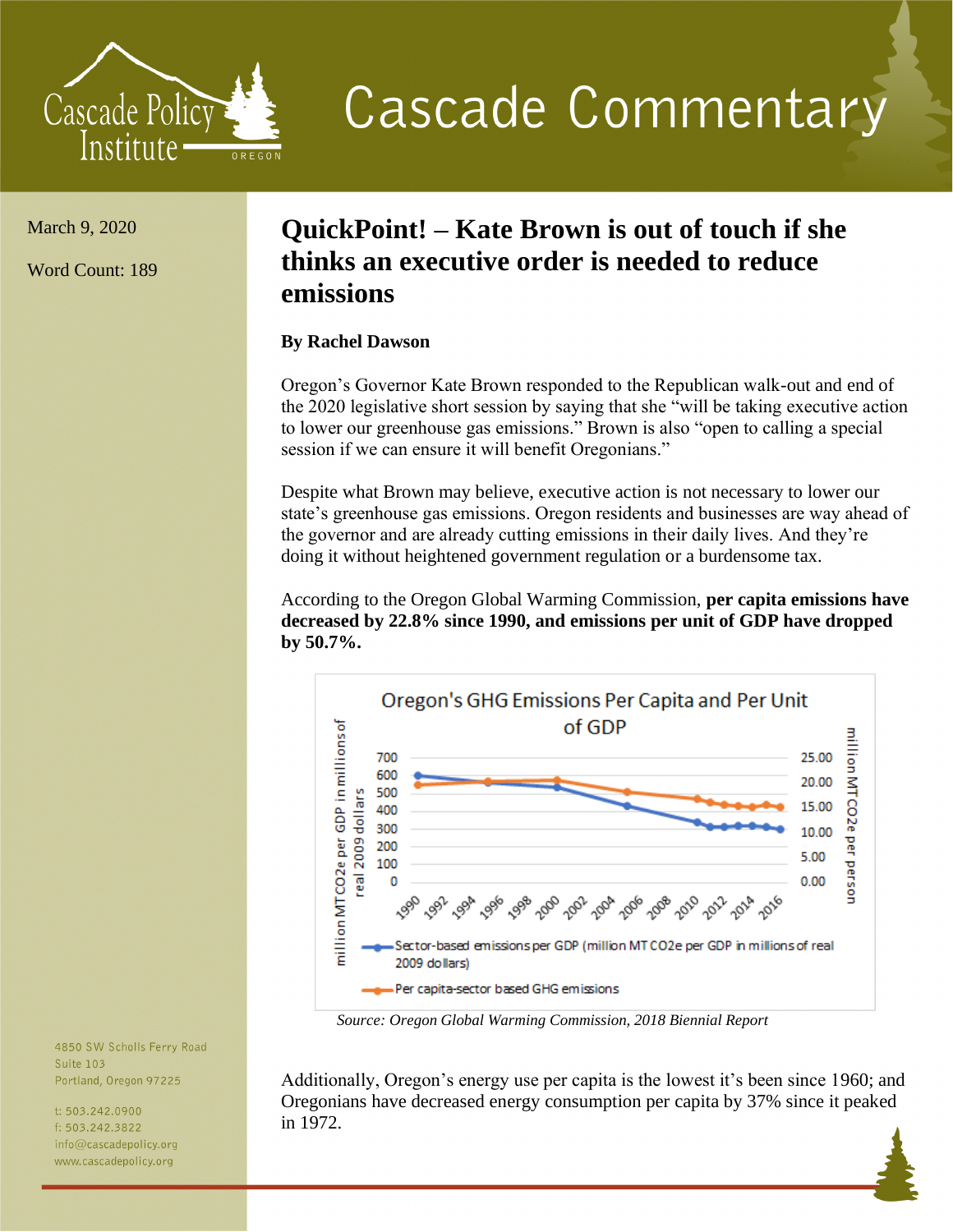

**Cascade Commentary** 

March 9, 2020

Word Count: 189

## **QuickPoint! – Kate Brown is out of touch if she thinks an executive order is needed to reduce emissions**

## **By Rachel Dawson**

Oregon's Governor Kate Brown responded to the Republican walk-out and end of the 2020 legislative short session by saying that she "will be taking executive action to lower our greenhouse gas emissions." Brown is also "open to calling a special session if we can ensure it will benefit Oregonians."

Despite what Brown may believe, executive action is not necessary to lower our state's greenhouse gas emissions. Oregon residents and businesses are way ahead of the governor and are already cutting emissions in their daily lives. And they're doing it without heightened government regulation or a burdensome tax.

According to the Oregon Global Warming Commission, **per capita emissions have decreased by 22.8% since 1990, and emissions per unit of GDP have dropped by 50.7%.** 



*Source: Oregon Global Warming Commission, 2018 Biennial Report*

Additionally, Oregon's energy use per capita is the lowest it's been since 1960; and Oregonians have decreased energy consumption per capita by 37% since it peaked in 1972.

4850 SW Scholls Ferry Road Suite 103 Portland, Oregon 97225

t: 503.242.0900 f: 503.242.3822  $info@cascadepolicy.org$ www.cascadepolicy.org